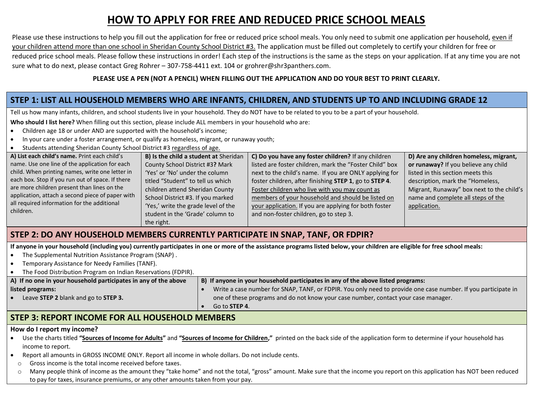# **HOW TO APPLY FOR FREE AND REDUCED PRICE SCHOOL MEALS**

Please use these instructions to help you fill out the application for free or reduced price school meals. You only need to submit one application per household, even if your children attend more than one school in Sheridan County School District #3. The application must be filled out completely to certify your children for free or reduced price school meals. Please follow these instructions in order! Each step of the instructions is the same as the steps on your application. If at any time you are not sure what to do next, please contact Greg Rohrer – 307-758-4411 ext. 104 or grohrer@shr3panthers.com.

#### **PLEASE USE A PEN (NOT A PENCIL) WHEN FILLING OUT THE APPLICATION AND DO YOUR BEST TO PRINT CLEARLY.**

#### **STEP 1: LIST ALL HOUSEHOLD MEMBERS WHO ARE INFANTS, CHILDREN, AND STUDENTS UP TO AND INCLUDING GRADE 12**

Tell us how many infants, children, and school students live in your household. They do NOT have to be related to you to be a part of your household.

**Who should I list here?** When filling out this section, please include ALL members in your household who are:

- Children age 18 or under AND are supported with the household's income;
- In your care under a foster arrangement, or qualify as homeless, migrant, or runaway youth;
- Students attending Sheridan County School District #3 regardless of age.

| A) List each child's name. Print each child's            | B) Is the child a student at Sheridan | C) Do you have any foster children? If any children     | D) Are any children homeless, migrant,    |
|----------------------------------------------------------|---------------------------------------|---------------------------------------------------------|-------------------------------------------|
| name. Use one line of the application for each           | County School District #3? Mark       | listed are foster children, mark the "Foster Child" box | or runaway? If you believe any child      |
| child. When printing names, write one letter in          | 'Yes' or 'No' under the column        | next to the child's name. If you are ONLY applying for  | listed in this section meets this         |
| each box. Stop if you run out of space. If there         | titled "Student" to tell us which     | foster children, after finishing STEP 1, go to STEP 4.  | description, mark the "Homeless,          |
| are more children present than lines on the              | children attend Sheridan County       | Foster children who live with you may count as          | Migrant, Runaway" box next to the child's |
| application, attach a second piece of paper with         | School District #3. If you marked     | members of your household and should be listed on       | name and complete all steps of the        |
| all required information for the additional<br>children. | 'Yes,' write the grade level of the   | your application. If you are applying for both foster   | application.                              |
|                                                          | student in the 'Grade' column to      | and non-foster children, go to step 3.                  |                                           |
|                                                          | the right.                            |                                                         |                                           |

## **STEP 2: DO ANY HOUSEHOLD MEMBERS CURRENTLY PARTICIPATE IN SNAP, TANF, OR FDPIR?**

**If anyone in your household (including you) currently participates in one or more of the assistance programs listed below, your children are eligible for free school meals:**

- The Supplemental Nutrition Assistance Program (SNAP) .
- Temporary Assistance for Needy Families (TANF).
- The Food Distribution Program on Indian Reservations (FDPIR).

| A) If no one in your household participates in any of the above | B) If anyone in your household participates in any of the above listed programs:                              |  |  |  |
|-----------------------------------------------------------------|---------------------------------------------------------------------------------------------------------------|--|--|--|
| listed programs:                                                | Write a case number for SNAP, TANF, or FDPIR. You only need to provide one case number. If you participate in |  |  |  |
| Leave STEP 2 blank and go to STEP 3.                            | one of these programs and do not know your case number, contact your case manager.                            |  |  |  |
|                                                                 | Go to <b>STEP 4</b> .                                                                                         |  |  |  |

## **STEP 3: REPORT INCOME FOR ALL HOUSEHOLD MEMBERS**

#### **How do I report my income?**

- Use the charts titled **"Sources of Income for Adults"** and **"Sources of Income for Children,"** printed on the back side of the application form to determine if your household has income to report.
- Report all amounts in GROSS INCOME ONLY. Report all income in whole dollars. Do not include cents.
- o Gross income is the total income received before taxes.
- $\circ$  Many people think of income as the amount they "take home" and not the total, "gross" amount. Make sure that the income you report on this application has NOT been reduced to pay for taxes, insurance premiums, or any other amounts taken from your pay.